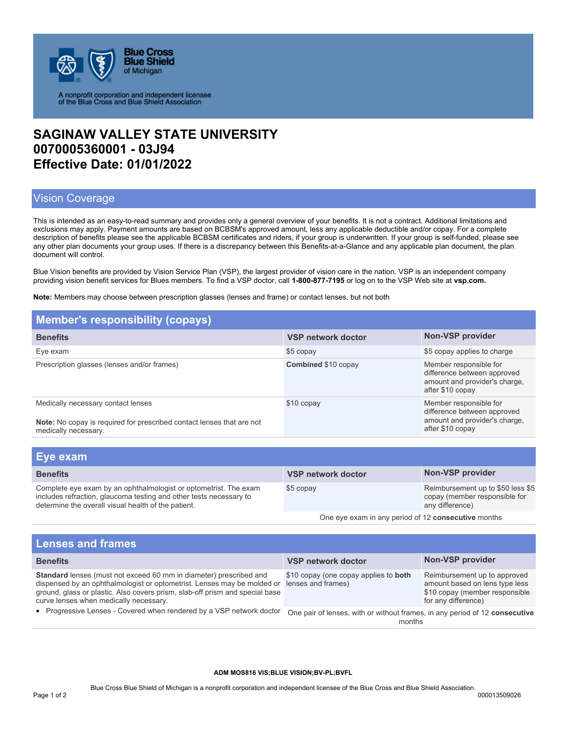

A nonprofit corporation and independent licensee<br>of the Blue Cross and Blue Shield Association

## **SAGINAW VALLEY STATE UNIVERSITY 0070005360001 - 03J94 Effective Date: 01/01/2022**

## Vision Coverage

This is intended as an easy-to-read summary and provides only a general overview of your benefits. It is not a contract. Additional limitations and exclusions may apply. Payment amounts are based on BCBSM's approved amount, less any applicable deductible and/or copay. For a complete description of benefits please see the applicable BCBSM certificates and riders, if your group is underwritten. If your group is self-funded, please see any other plan documents your group uses. If there is a discrepancy between this Benefits-at-a-Glance and any applicable plan document, the plan document will control.

Blue Vision benefits are provided by Vision Service Plan (VSP), the largest provider of vision care in the nation. VSP is an independent company providing vision benefit services for Blues members. To find a VSP doctor, call **1-800-877-7195** or log on to the VSP Web site at **vsp.com.** 

**Note:** Members may choose between prescription glasses (lenses and frame) or contact lenses, but not both

| <b>Member's responsibility (copays)</b>                                                                                                                                                       |                           |                                                                                                            |  |
|-----------------------------------------------------------------------------------------------------------------------------------------------------------------------------------------------|---------------------------|------------------------------------------------------------------------------------------------------------|--|
| <b>Benefits</b>                                                                                                                                                                               | <b>VSP network doctor</b> | Non-VSP provider                                                                                           |  |
| Eye exam                                                                                                                                                                                      | \$5 copay                 | \$5 copay applies to charge                                                                                |  |
| Prescription glasses (lenses and/or frames)                                                                                                                                                   | Combined \$10 copay       | Member responsible for<br>difference between approved<br>amount and provider's charge,<br>after \$10 copay |  |
| Medically necessary contact lenses<br><b>Note:</b> No copay is required for prescribed contact lenses that are not<br>medically necessary.                                                    | \$10 copay                | Member responsible for<br>difference between approved<br>amount and provider's charge,<br>after \$10 copay |  |
|                                                                                                                                                                                               |                           |                                                                                                            |  |
| Eye exam                                                                                                                                                                                      |                           |                                                                                                            |  |
| <b>Benefits</b>                                                                                                                                                                               | <b>VSP network doctor</b> | Non-VSP provider                                                                                           |  |
| Complete eye exam by an ophthalmologist or optometrist. The exam<br>includes refraction, glaucoma testing and other tests necessary to<br>determine the overall visual health of the patient. | \$5 copay                 | Reimbursement up to \$50 less \$5<br>copay (member responsible for<br>any difference)                      |  |
| One eve exam in any period of 12 consecutive months                                                                                                                                           |                           |                                                                                                            |  |

| <b>Lenses and frames</b>                                                                                                                                                                                                                                                                                                                        |                                                                                       |                                                                                                                         |  |  |
|-------------------------------------------------------------------------------------------------------------------------------------------------------------------------------------------------------------------------------------------------------------------------------------------------------------------------------------------------|---------------------------------------------------------------------------------------|-------------------------------------------------------------------------------------------------------------------------|--|--|
| <b>Benefits</b>                                                                                                                                                                                                                                                                                                                                 | <b>VSP network doctor</b>                                                             | Non-VSP provider                                                                                                        |  |  |
| Standard lenses (must not exceed 60 mm in diameter) prescribed and<br>dispensed by an ophthalmologist or optometrist. Lenses may be molded or<br>ground, glass or plastic. Also covers prism, slab-off prism and special base<br>curve lenses when medically necessary.<br>• Progressive Lenses - Covered when rendered by a VSP network doctor | \$10 copay (one copay applies to <b>both</b><br>lenses and frames)                    | Reimbursement up to approved<br>amount based on lens type less<br>\$10 copay (member responsible<br>for any difference) |  |  |
|                                                                                                                                                                                                                                                                                                                                                 | One pair of lenses, with or without frames, in any period of 12 consecutive<br>months |                                                                                                                         |  |  |